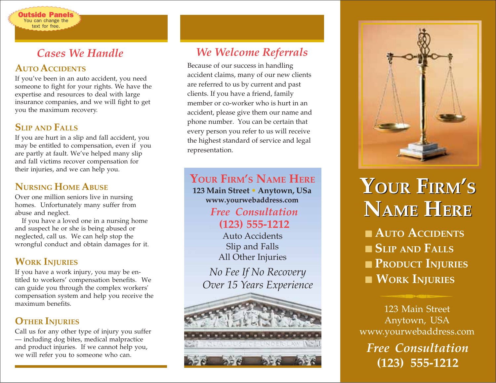## *Cases We Handle*

### **AUTO ACCIDENTS**

utside Panel You can change the text for free.

If you've been in an auto accident, you need someone to fight for your rights. We have the expertise and resources to deal with large insurance companies, and we will fight to get you the maximum recovery.

### **SLIP AND FALLS**

If you are hurt in a slip and fall accident, you may be entitled to compensation, even if you are partly at fault. We've helped many slip and fall victims recover compensation for their injuries, and we can help you.

### **NURSING HOME ABUSE**

Over one million seniors live in nursing homes. Unfortunately many suffer from abuse and neglect.

If you have a loved one in a nursing home and suspect he or she is being abused or neglected, call us. We can help stop the wrongful conduct and obtain damages for it.

### **WORK INJURIES**

If you have a work injury, you may be entitled to workers' compensation benefits. We can guide you through the complex workers' compensation system and help you receive the maximum benefits.

### **OTHER INJURIES**

Call us for any other type of injury you suffer — including dog bites, medical malpractice and product injuries. If we cannot help you, we will refer you to someone who can.

## *We Welcome Referrals*

Because of our success in handling accident claims, many of our new clients are referred to us by current and past clients. If you have a friend, family member or co-worker who is hurt in an accident, please give them our name and phone number. You can be certain that every person you refer to us will receive the highest standard of service and legal representation.

**YOUR FIRM'S NAME HERE**

**123 Main Street • Anytown, USa www.yourwebaddress.com**

### *Free Consultation* **(123) 555-1212**

Auto Accidents Slip and Falls All Other Injuries

*No Fee If No Recovery Over 15 Years Experience*





# **YOUR FIRM'S YOUR FIRM'S NAME HERE NAME HERE**

■ **AUTO ACCIDENTS** ■ **SLIP AND FALLS** ■ **PRODUCT INJURIES** ■ **WORK INJURIES**

123 Main Street Anytown, USA www.yourwebaddress.com *Free Consultation*

**(123) 555-1212**